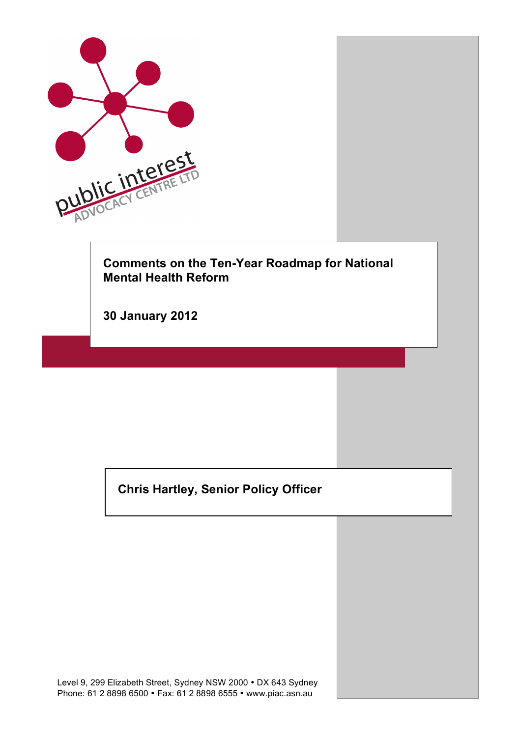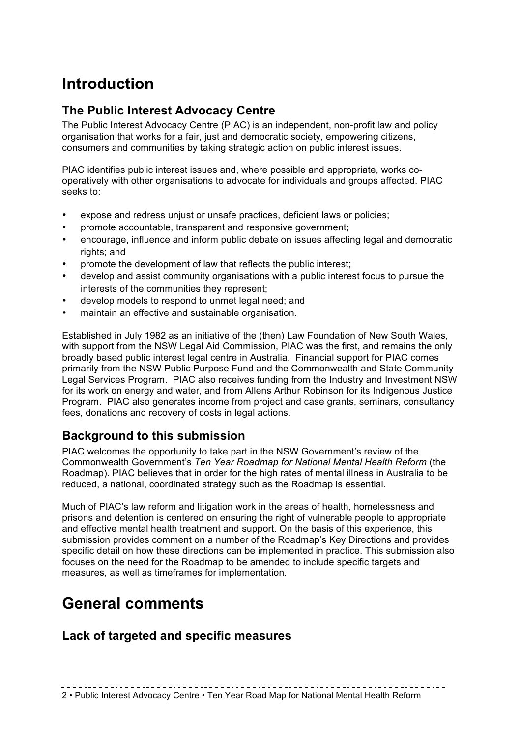# **Introduction**

# **The Public Interest Advocacy Centre**

The Public Interest Advocacy Centre (PIAC) is an independent, non-profit law and policy organisation that works for a fair, just and democratic society, empowering citizens, consumers and communities by taking strategic action on public interest issues.

PIAC identifies public interest issues and, where possible and appropriate, works cooperatively with other organisations to advocate for individuals and groups affected. PIAC seeks to:

- expose and redress unjust or unsafe practices, deficient laws or policies;
- promote accountable, transparent and responsive government;
- encourage, influence and inform public debate on issues affecting legal and democratic rights; and
- promote the development of law that reflects the public interest;
- develop and assist community organisations with a public interest focus to pursue the interests of the communities they represent;
- develop models to respond to unmet legal need; and
- maintain an effective and sustainable organisation.

Established in July 1982 as an initiative of the (then) Law Foundation of New South Wales, with support from the NSW Legal Aid Commission, PIAC was the first, and remains the only broadly based public interest legal centre in Australia. Financial support for PIAC comes primarily from the NSW Public Purpose Fund and the Commonwealth and State Community Legal Services Program. PIAC also receives funding from the Industry and Investment NSW for its work on energy and water, and from Allens Arthur Robinson for its Indigenous Justice Program. PIAC also generates income from project and case grants, seminars, consultancy fees, donations and recovery of costs in legal actions.

# **Background to this submission**

PIAC welcomes the opportunity to take part in the NSW Government's review of the Commonwealth Government's *Ten Year Roadmap for National Mental Health Reform* (the Roadmap). PIAC believes that in order for the high rates of mental illness in Australia to be reduced, a national, coordinated strategy such as the Roadmap is essential.

Much of PIAC's law reform and litigation work in the areas of health, homelessness and prisons and detention is centered on ensuring the right of vulnerable people to appropriate and effective mental health treatment and support. On the basis of this experience, this submission provides comment on a number of the Roadmap's Key Directions and provides specific detail on how these directions can be implemented in practice. This submission also focuses on the need for the Roadmap to be amended to include specific targets and measures, as well as timeframes for implementation.

# **General comments**

# **Lack of targeted and specific measures**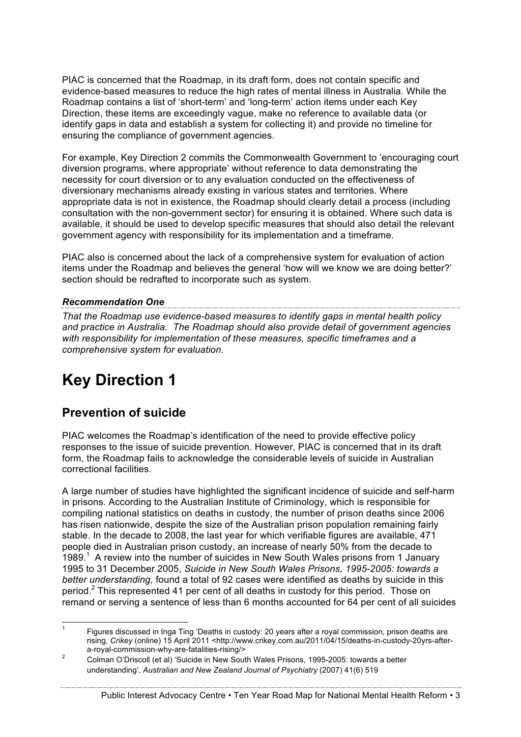PIAC is concerned that the Roadmap, in its draft form, does not contain specific and evidence-based measures to reduce the high rates of mental illness in Australia. While the Roadmap contains a list of 'short-term' and 'long-term' action items under each Key Direction, these items are exceedingly vague, make no reference to available data (or identify gaps in data and establish a system for collecting it) and provide no timeline for ensuring the compliance of government agencies.

For example, Key Direction 2 commits the Commonwealth Government to 'encouraging court diversion programs, where appropriate' without reference to data demonstrating the necessity for court diversion or to any evaluation conducted on the effectiveness of diversionary mechanisms already existing in various states and territories. Where appropriate data is not in existence, the Roadmap should clearly detail a process (including consultation with the non-government sector) for ensuring it is obtained. Where such data is available, it should be used to develop specific measures that should also detail the relevant government agency with responsibility for its implementation and a timeframe.

PIAC also is concerned about the lack of a comprehensive system for evaluation of action items under the Roadmap and believes the general 'how will we know we are doing better?' section should be redrafted to incorporate such as system.

## *Recommendation One*

*That the Roadmap use evidence-based measures to identify gaps in mental health policy and practice in Australia. The Roadmap should also provide detail of government agencies with responsibility for implementation of these measures, specific timeframes and a comprehensive system for evaluation.* 

# **Key Direction 1**

# **Prevention of suicide**

PIAC welcomes the Roadmap's identification of the need to provide effective policy responses to the issue of suicide prevention. However, PIAC is concerned that in its draft form, the Roadmap fails to acknowledge the considerable levels of suicide in Australian correctional facilities.

A large number of studies have highlighted the significant incidence of suicide and self-harm in prisons. According to the Australian Institute of Criminology, which is responsible for compiling national statistics on deaths in custody, the number of prison deaths since 2006 has risen nationwide, despite the size of the Australian prison population remaining fairly stable. In the decade to 2008, the last year for which verifiable figures are available, 471 people died in Australian prison custody, an increase of nearly 50% from the decade to 1989. $<sup>1</sup>$  A review into the number of suicides in New South Wales prisons from 1 January</sup> 1995 to 31 December 2005, *Suicide in New South Wales Prisons, 1995-2005: towards a better understanding,* found a total of 92 cases were identified as deaths by suicide in this period.<sup>2</sup> This represented 41 per cent of all deaths in custody for this period. Those on remand or serving a sentence of less than 6 months accounted for 64 per cent of all suicides

 <sup>1</sup> Figures discussed in Inga Ting 'Deaths in custody: 20 years after a royal commission, prison deaths are rising, *Crikey* (online) 15 April 2011 <http://www.crikey.com.au/2011/04/15/deaths-in-custody-20yrs-aftera-royal-commission-why-are-fatalities-rising/>

<sup>2</sup> Colman O'Driscoll (et al) 'Suicide in New South Wales Prisons, 1995-2005: towards a better understanding', *Australian and New Zealand Journal of Psychiatry* (2007) 41(6) 519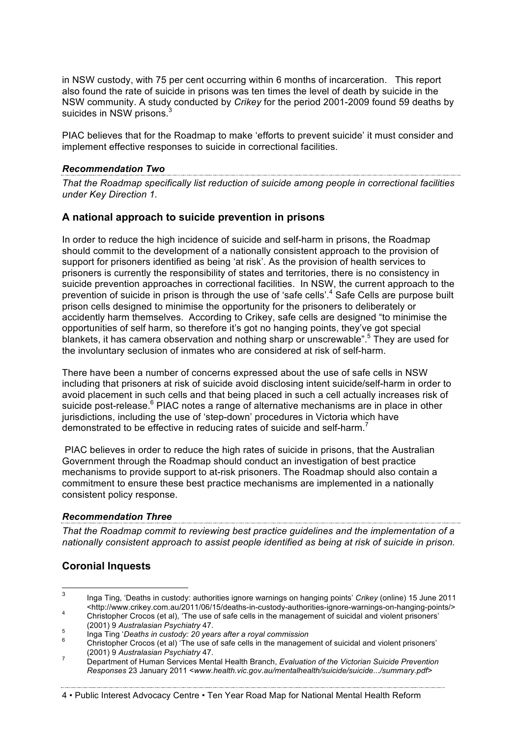in NSW custody, with 75 per cent occurring within 6 months of incarceration. This report also found the rate of suicide in prisons was ten times the level of death by suicide in the NSW community. A study conducted by *Crikey* for the period 2001-2009 found 59 deaths by suicides in NSW prisons.<sup>3</sup>

PIAC believes that for the Roadmap to make 'efforts to prevent suicide' it must consider and implement effective responses to suicide in correctional facilities.

#### *Recommendation Two*

*That the Roadmap specifically list reduction of suicide among people in correctional facilities under Key Direction 1.* 

#### **A national approach to suicide prevention in prisons**

In order to reduce the high incidence of suicide and self-harm in prisons, the Roadmap should commit to the development of a nationally consistent approach to the provision of support for prisoners identified as being 'at risk'. As the provision of health services to prisoners is currently the responsibility of states and territories, there is no consistency in suicide prevention approaches in correctional facilities. In NSW, the current approach to the prevention of suicide in prison is through the use of 'safe cells'.<sup>4</sup> Safe Cells are purpose built prison cells designed to minimise the opportunity for the prisoners to deliberately or accidently harm themselves. According to Crikey, safe cells are designed "to minimise the opportunities of self harm, so therefore it's got no hanging points, they've got special blankets, it has camera observation and nothing sharp or unscrewable".<sup>5</sup> They are used for the involuntary seclusion of inmates who are considered at risk of self-harm.

There have been a number of concerns expressed about the use of safe cells in NSW including that prisoners at risk of suicide avoid disclosing intent suicide/self-harm in order to avoid placement in such cells and that being placed in such a cell actually increases risk of suicide post-release.<sup>6</sup> PIAC notes a range of alternative mechanisms are in place in other jurisdictions, including the use of 'step-down' procedures in Victoria which have demonstrated to be effective in reducing rates of suicide and self-harm.<sup>7</sup>

PIAC believes in order to reduce the high rates of suicide in prisons, that the Australian Government through the Roadmap should conduct an investigation of best practice mechanisms to provide support to at-risk prisoners. The Roadmap should also contain a commitment to ensure these best practice mechanisms are implemented in a nationally consistent policy response.

#### *Recommendation Three*

*That the Roadmap commit to reviewing best practice guidelines and the implementation of a nationally consistent approach to assist people identified as being at risk of suicide in prison.* 

# **Coronial Inquests**

#### 4 • Public Interest Advocacy Centre • Ten Year Road Map for National Mental Health Reform

 <sup>3</sup> Inga Ting, 'Deaths in custody: authorities ignore warnings on hanging points' *Crikey* (online) 15 June 2011 <sup>4</sup> Christopher Crocos (et al), 'The use of safe cells in the management of suicidal and violent prisoners'

<sup>(2001) 9</sup> *Australasian Psychiatry* 47. <sup>5</sup> Inga Ting '*Deaths in custody: 20 years after a royal commission* <sup>6</sup> Christopher Crocos (et al) 'The use of safe cells in the management of suicidal and violent prisoners'

<sup>(2001) 9</sup> *Australasian Psychiatry* 47. <sup>7</sup> Department of Human Services Mental Health Branch, *Evaluation of the Victorian Suicide Prevention* 

*Responses* 23 January 2011 <*www.health.vic.gov.au/mentalhealth/suicide/suicide.../summary.pdf>*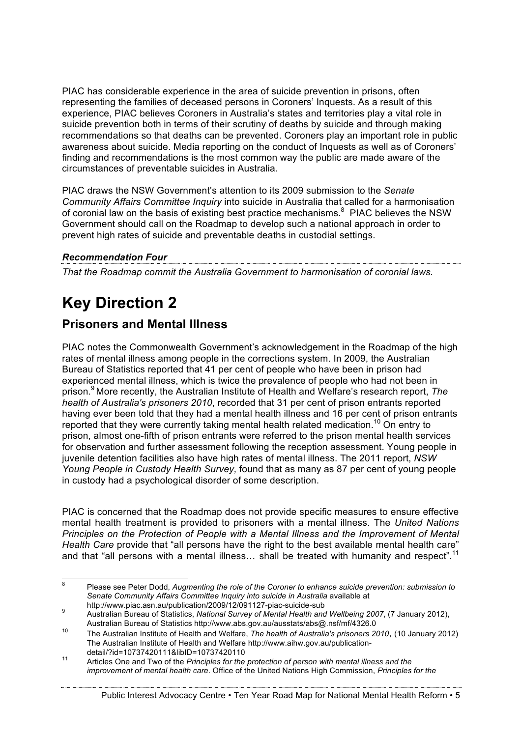PIAC has considerable experience in the area of suicide prevention in prisons, often representing the families of deceased persons in Coroners' Inquests. As a result of this experience, PIAC believes Coroners in Australia's states and territories play a vital role in suicide prevention both in terms of their scrutiny of deaths by suicide and through making recommendations so that deaths can be prevented. Coroners play an important role in public awareness about suicide. Media reporting on the conduct of Inquests as well as of Coroners' finding and recommendations is the most common way the public are made aware of the circumstances of preventable suicides in Australia.

PIAC draws the NSW Government's attention to its 2009 submission to the *Senate Community Affairs Committee Inquiry* into suicide in Australia that called for a harmonisation of coronial law on the basis of existing best practice mechanisms. $8$  PIAC believes the NSW Government should call on the Roadmap to develop such a national approach in order to prevent high rates of suicide and preventable deaths in custodial settings.

# *Recommendation Four*

*That the Roadmap commit the Australia Government to harmonisation of coronial laws.* 

# **Key Direction 2**

# **Prisoners and Mental Illness**

PIAC notes the Commonwealth Government's acknowledgement in the Roadmap of the high rates of mental illness among people in the corrections system. In 2009, the Australian Bureau of Statistics reported that 41 per cent of people who have been in prison had experienced mental illness, which is twice the prevalence of people who had not been in prison. <sup>9</sup> More recently, the Australian Institute of Health and Welfare's research report, *The health of Australia's prisoners 2010*, recorded that 31 per cent of prison entrants reported having ever been told that they had a mental health illness and 16 per cent of prison entrants reported that they were currently taking mental health related medication.<sup>10</sup> On entry to prison, almost one-fifth of prison entrants were referred to the prison mental health services for observation and further assessment following the reception assessment. Young people in juvenile detention facilities also have high rates of mental illness. The 2011 report, *NSW Young People in Custody Health Survey,* found that as many as 87 per cent of young people in custody had a psychological disorder of some description.

PIAC is concerned that the Roadmap does not provide specific measures to ensure effective mental health treatment is provided to prisoners with a mental illness. The *United Nations Principles on the Protection of People with a Mental Illness and the Improvement of Mental Health Care* provide that "all persons have the right to the best available mental health care" and that "all persons with a mental illness... shall be treated with humanity and respect".<sup>11</sup>

#### Public Interest Advocacy Centre • Ten Year Road Map for National Mental Health Reform • 5

 <sup>8</sup> Please see Peter Dodd, *Augmenting the role of the Coroner to enhance suicide prevention: submission to*  Senate Community Affairs Committee Inquiry into suicide in Australia available at http://www.piac.asn.au/publication/2009/12/091127-piac-suicide-sub

http://www.piac.asn.au/publication/2007/12/091127-piac-suicide-sub 9 Australian Bureau of Statistics, *National Survey of Mental Health and Wellbeing 2007*, (7 January 2012), Australian Bureau of Statistics http://www.abs.gov.au/ausstats/abs@.nsf/mf/4326.0

<sup>10</sup> The Australian Institute of Health and Welfare, *The health of Australia's prisoners 2010*, (10 January 2012) The Australian Institute of Health and Welfare http://www.aihw.gov.au/publication-

detail/?id=10737420111&libID=10737420110<br><sup>11</sup> Articles One and Two of the *Principles for the protection of person with mental illness and the improvement of mental health care*. Office of the United Nations High Commission, *Principles for the*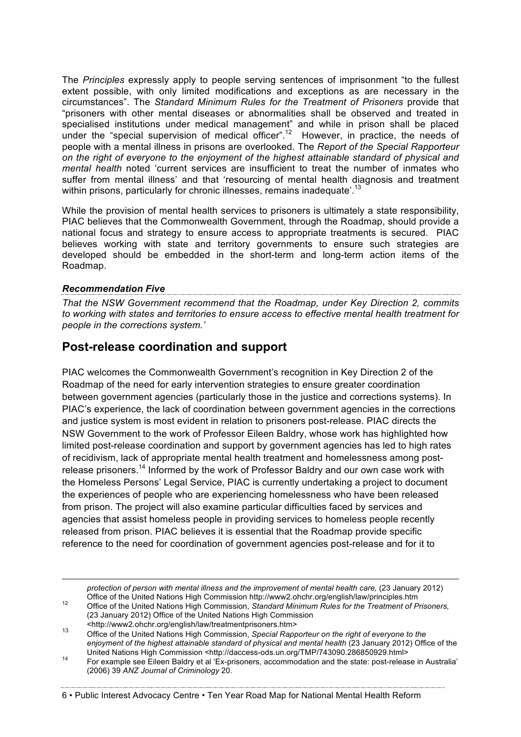The *Principles* expressly apply to people serving sentences of imprisonment "to the fullest extent possible, with only limited modifications and exceptions as are necessary in the circumstances". The *Standard Minimum Rules for the Treatment of Prisoners* provide that "prisoners with other mental diseases or abnormalities shall be observed and treated in specialised institutions under medical management" and while in prison shall be placed under the "special supervision of medical officer".<sup>12</sup> However, in practice, the needs of people with a mental illness in prisons are overlooked. The *Report of the Special Rapporteur on the right of everyone to the enjoyment of the highest attainable standard of physical and mental health* noted 'current services are insufficient to treat the number of inmates who suffer from mental illness' and that 'resourcing of mental health diagnosis and treatment within prisons, particularly for chronic illnesses, remains inadequate'.<sup>13</sup>

While the provision of mental health services to prisoners is ultimately a state responsibility, PIAC believes that the Commonwealth Government, through the Roadmap, should provide a national focus and strategy to ensure access to appropriate treatments is secured. PIAC believes working with state and territory governments to ensure such strategies are developed should be embedded in the short-term and long-term action items of the Roadmap.

## *Recommendation Five*

*That the NSW Government recommend that the Roadmap, under Key Direction 2, commits to working with states and territories to ensure access to effective mental health treatment for people in the corrections system.'* 

# **Post-release coordination and support**

PIAC welcomes the Commonwealth Government's recognition in Key Direction 2 of the Roadmap of the need for early intervention strategies to ensure greater coordination between government agencies (particularly those in the justice and corrections systems). In PIAC's experience, the lack of coordination between government agencies in the corrections and justice system is most evident in relation to prisoners post-release. PIAC directs the NSW Government to the work of Professor Eileen Baldry, whose work has highlighted how limited post-release coordination and support by government agencies has led to high rates of recidivism, lack of appropriate mental health treatment and homelessness among postrelease prisoners.<sup>14</sup> Informed by the work of Professor Baldry and our own case work with the Homeless Persons' Legal Service, PIAC is currently undertaking a project to document the experiences of people who are experiencing homelessness who have been released from prison. The project will also examine particular difficulties faced by services and agencies that assist homeless people in providing services to homeless people recently released from prison. PIAC believes it is essential that the Roadmap provide specific reference to the need for coordination of government agencies post-release and for it to

*protection of person with mental illness and the improvement of mental health care, (23 January 2012)* 

Office of the United Nations High Commission http://www2.ohchr.org/english/law/principles.htm <sup>12</sup> Office of the United Nations High Commission, *Standard Minimum Rules for the Treatment of Prisoners,*  (23 January 2012) Office of the United Nations High Commission

#### 6 • Public Interest Advocacy Centre • Ten Year Road Map for National Mental Health Reform

<sup>&</sup>lt;http://www2.ohchr.org/english/law/treatmentprisoners.htm> <sup>13</sup> Office of the United Nations High Commission, *Special Rapporteur on the right of everyone to the enjoyment of the highest attainable standard of physical and mental health* (23 January 2012) Office of the

United Nations High Commission <http://daccess-ods.un.org/TMP/743090.286850929.html><br>14 For example see Eileen Baldry et al 'Ex-prisoners, accommodation and the state: post-release in Australia' (2006) 39 *ANZ Journal of Criminology* 20.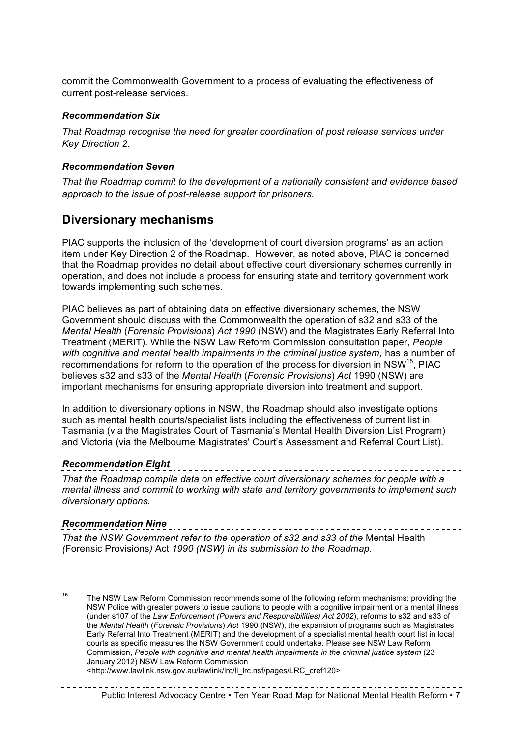commit the Commonwealth Government to a process of evaluating the effectiveness of current post-release services.

*Recommendation Six That Roadmap recognise the need for greater coordination of post release services under Key Direction 2.* 

## *Recommendation Seven*

*That the Roadmap commit to the development of a nationally consistent and evidence based approach to the issue of post-release support for prisoners.* 

# **Diversionary mechanisms**

PIAC supports the inclusion of the 'development of court diversion programs' as an action item under Key Direction 2 of the Roadmap. However, as noted above, PIAC is concerned that the Roadmap provides no detail about effective court diversionary schemes currently in operation, and does not include a process for ensuring state and territory government work towards implementing such schemes.

PIAC believes as part of obtaining data on effective diversionary schemes, the NSW Government should discuss with the Commonwealth the operation of s32 and s33 of the *Mental Health* (*Forensic Provisions*) *Act 1990* (NSW) and the Magistrates Early Referral Into Treatment (MERIT). While the NSW Law Reform Commission consultation paper, *People with cognitive and mental health impairments in the criminal justice system,* has a number of recommendations for reform to the operation of the process for diversion in NSW<sup>15</sup>. PIAC believes s32 and s33 of the *Mental Health* (*Forensic Provisions*) *Act* 1990 (NSW) are important mechanisms for ensuring appropriate diversion into treatment and support.

In addition to diversionary options in NSW, the Roadmap should also investigate options such as mental health courts/specialist lists including the effectiveness of current list in Tasmania (via the Magistrates Court of Tasmania's Mental Health Diversion List Program) and Victoria (via the Melbourne Magistrates' Court's Assessment and Referral Court List).

## *Recommendation Eight*

*That the Roadmap compile data on effective court diversionary schemes for people with a mental illness and commit to working with state and territory governments to implement such diversionary options.* 

# *Recommendation Nine*

*That the NSW Government refer to the operation of s32 and s33 of the* Mental Health *(*Forensic Provisions*)* Act *1990 (NSW) in its submission to the Roadmap.* 

```
<http://www.lawlink.nsw.gov.au/lawlink/lrc/ll_lrc.nsf/pages/LRC_cref120>
```
<sup>&</sup>lt;sup>15</sup> The NSW Law Reform Commission recommends some of the following reform mechanisms: providing the NSW Police with greater powers to issue cautions to people with a cognitive impairment or a mental illness (under s107 of the *Law Enforcement (Powers and Responsibilities) Act 2002*), reforms to s32 and s33 of the *Mental Health* (*Forensic Provisions*) *Act* 1990 (NSW), the expansion of programs such as Magistrates Early Referral Into Treatment (MERIT) and the development of a specialist mental health court list in local courts as specific measures the NSW Government could undertake. Please see NSW Law Reform Commission, *People with cognitive and mental health impairments in the criminal justice system* (23 January 2012) NSW Law Reform Commission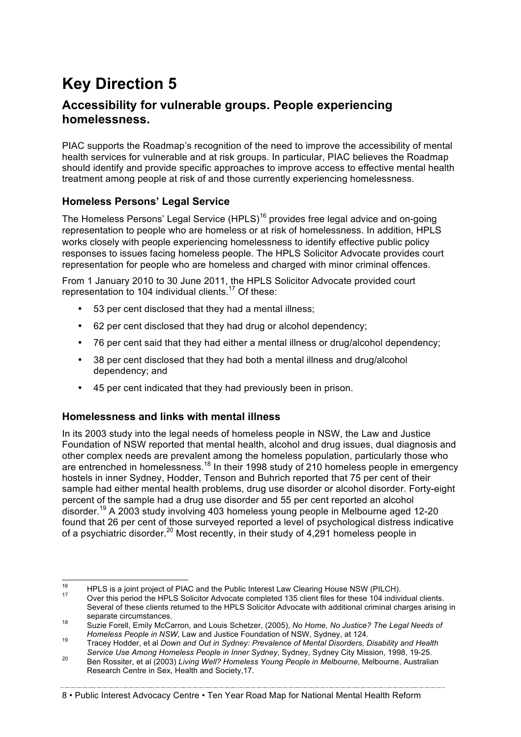# **Key Direction 5**

# **Accessibility for vulnerable groups. People experiencing homelessness.**

PIAC supports the Roadmap's recognition of the need to improve the accessibility of mental health services for vulnerable and at risk groups. In particular, PIAC believes the Roadmap should identify and provide specific approaches to improve access to effective mental health treatment among people at risk of and those currently experiencing homelessness.

# **Homeless Persons' Legal Service**

The Homeless Persons' Legal Service (HPLS)<sup>16</sup> provides free legal advice and on-going representation to people who are homeless or at risk of homelessness. In addition, HPLS works closely with people experiencing homelessness to identify effective public policy responses to issues facing homeless people. The HPLS Solicitor Advocate provides court representation for people who are homeless and charged with minor criminal offences.

From 1 January 2010 to 30 June 2011, the HPLS Solicitor Advocate provided court representation to 104 individual clients.<sup>17</sup> Of these:

- 53 per cent disclosed that they had a mental illness;
- 62 per cent disclosed that they had drug or alcohol dependency;
- 76 per cent said that they had either a mental illness or drug/alcohol dependency;
- 38 per cent disclosed that they had both a mental illness and drug/alcohol dependency; and
- 45 per cent indicated that they had previously been in prison.

# **Homelessness and links with mental illness**

In its 2003 study into the legal needs of homeless people in NSW, the Law and Justice Foundation of NSW reported that mental health, alcohol and drug issues, dual diagnosis and other complex needs are prevalent among the homeless population, particularly those who are entrenched in homelessness.18 In their 1998 study of 210 homeless people in emergency hostels in inner Sydney, Hodder, Tenson and Buhrich reported that 75 per cent of their sample had either mental health problems, drug use disorder or alcohol disorder. Forty-eight percent of the sample had a drug use disorder and 55 per cent reported an alcohol disorder.19 A 2003 study involving 403 homeless young people in Melbourne aged 12-20 found that 26 per cent of those surveyed reported a level of psychological distress indicative of a psychiatric disorder.<sup>20</sup> Most recently, in their study of 4,291 homeless people in

8 • Public Interest Advocacy Centre • Ten Year Road Map for National Mental Health Reform

<sup>&</sup>lt;sup>16</sup> HPLS is a joint project of PIAC and the Public Interest Law Clearing House NSW (PILCH).<br><sup>17</sup> Over this period the HPLS Solicitor Advocate completed 135 client files for these 104 individual clients.

Several of these clients returned to the HPLS Solicitor Advocate with additional criminal charges arising in

separate circumstances.<br>18 Suzie Forell, Emily McCarron, and Louis Schetzer, (2005), *No Home, No Justice? The Legal Needs of*<br>18 Homeless People in NSW, Law and Justice Foundation of NSW, Sydney, at 124.

*Homeless People in NSW*, Law and Justice Foundation of NSW, Sydney, at 124. <sup>19</sup> Tracey Hodder, et al *Down and Out in Sydney: Prevalence of Mental Disorders, Disability and Health* 

*Service Use Among Homeless People in Inner Sydney*, Sydney, Sydney City Mission, 1998, 19-25. <sup>20</sup> Ben Rossiter, et al (2003) *Living Well? Homeless Young People in Melbourne*, Melbourne, Australian Research Centre in Sex, Health and Society,17.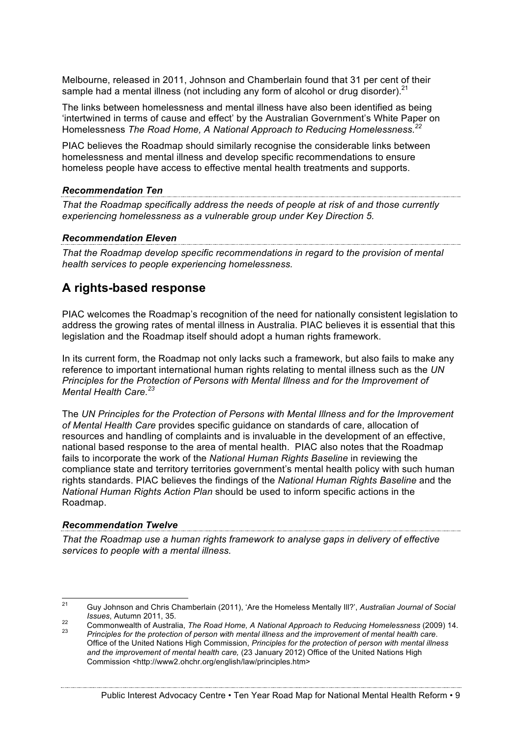Melbourne, released in 2011, Johnson and Chamberlain found that 31 per cent of their sample had a mental illness (not including any form of alcohol or drug disorder).<sup>21</sup>

The links between homelessness and mental illness have also been identified as being 'intertwined in terms of cause and effect' by the Australian Government's White Paper on Homelessness *The Road Home, A National Approach to Reducing Homelessness. 22*

PIAC believes the Roadmap should similarly recognise the considerable links between homelessness and mental illness and develop specific recommendations to ensure homeless people have access to effective mental health treatments and supports.

## *Recommendation Ten*

*That the Roadmap specifically address the needs of people at risk of and those currently experiencing homelessness as a vulnerable group under Key Direction 5.* 

*Recommendation Eleven That the Roadmap develop specific recommendations in regard to the provision of mental health services to people experiencing homelessness.* 

# **A rights-based response**

PIAC welcomes the Roadmap's recognition of the need for nationally consistent legislation to address the growing rates of mental illness in Australia. PIAC believes it is essential that this legislation and the Roadmap itself should adopt a human rights framework.

In its current form, the Roadmap not only lacks such a framework, but also fails to make any reference to important international human rights relating to mental illness such as the *UN Principles for the Protection of Persons with Mental Illness and for the Improvement of Mental Health Care. 23*

The *UN Principles for the Protection of Persons with Mental Illness and for the Improvement of Mental Health Care* provides specific guidance on standards of care, allocation of resources and handling of complaints and is invaluable in the development of an effective, national based response to the area of mental health. PIAC also notes that the Roadmap fails to incorporate the work of the *National Human Rights Baseline* in reviewing the compliance state and territory territories government's mental health policy with such human rights standards. PIAC believes the findings of the *National Human Rights Baseline* and the *National Human Rights Action Plan* should be used to inform specific actions in the Roadmap.

# *Recommendation Twelve*

*That the Roadmap use a human rights framework to analyse gaps in delivery of effective services to people with a mental illness.* 

 <sup>21</sup> Guy Johnson and Chris Chamberlain (2011), 'Are the Homeless Mentally Ill?', *Australian Journal of Social* 

Issues, Autumn 2011, 35.<br>Commonwealth of Australia, The Road Home, A National Approach to Reducing Homelessness (2009) 14.<br>Principles for the protection of person with mental illness and the improvement of mental health ca Office of the United Nations High Commission, *Principles for the protection of person with mental illness and the improvement of mental health care,* (23 January 2012) Office of the United Nations High Commission <http://www2.ohchr.org/english/law/principles.htm>